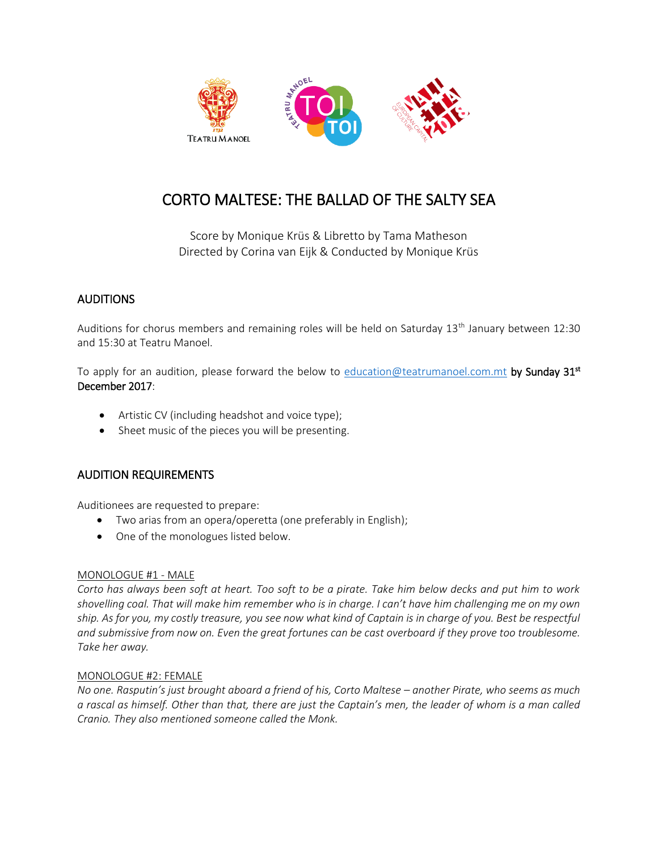

# CORTO MALTESE: THE BALLAD OF THE SALTY SEA

Score by Monique Krüs & Libretto by Tama Matheson Directed by Corina van Eijk & Conducted by Monique Krüs

## **AUDITIONS**

Auditions for chorus members and remaining roles will be held on Saturday 13<sup>th</sup> January between 12:30 and 15:30 at Teatru Manoel.

To apply for an audition, please forward the below to <u>education@teatrumanoel.com.mt</u> by Sunday 31st December 2017:

- Artistic CV (including headshot and voice type);
- Sheet music of the pieces you will be presenting.

## AUDITION REQUIREMENTS

Auditionees are requested to prepare:

- Two arias from an opera/operetta (one preferably in English);
- One of the monologues listed below.

#### MONOLOGUE #1 - MALE

*Corto has always been soft at heart. Too soft to be a pirate. Take him below decks and put him to work shovelling coal. That will make him remember who is in charge. I can't have him challenging me on my own ship. As for you, my costly treasure, you see now what kind of Captain is in charge of you. Best be respectful and submissive from now on. Even the great fortunes can be cast overboard if they prove too troublesome. Take her away.* 

#### MONOLOGUE #2: FEMALE

*No one. Rasputin's just brought aboard a friend of his, Corto Maltese – another Pirate, who seems as much a rascal as himself. Other than that, there are just the Captain's men, the leader of whom is a man called Cranio. They also mentioned someone called the Monk.*